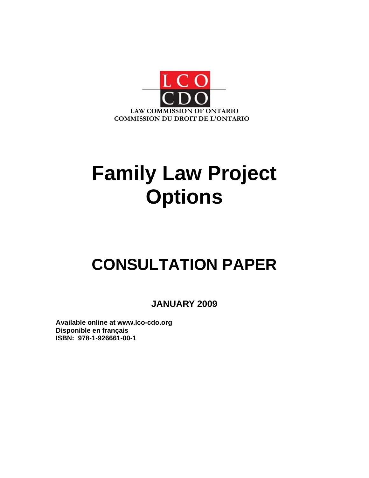

# **Family Law Project Options**

# **CONSULTATION PAPER**

**JANUARY 2009** 

**Available online at www.lco-cdo.org Disponible en français ISBN: 978-1-926661-00-1**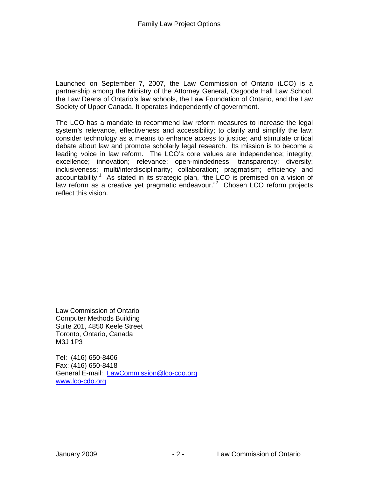Launched on September 7, 2007, the Law Commission of Ontario (LCO) is a partnership among the Ministry of the Attorney General, Osgoode Hall Law School, the Law Deans of Ontario's law schools, the Law Foundation of Ontario, and the Law Society of Upper Canada. It operates independently of government.

The LCO has a mandate to recommend law reform measures to increase the legal system's relevance, effectiveness and accessibility; to clarify and simplify the law; consider technology as a means to enhance access to justice; and stimulate critical debate about law and promote scholarly legal research. Its mission is to become a leading voice in law reform. The LCO's core values are independence; integrity; excellence; innovation; relevance; open-mindedness; transparency; diversity; inclusiveness; multi/interdisciplinarity; collaboration; pragmatism; efficiency and accountability.<sup>1</sup> As stated in its strategic plan, "the LCO is premised on a vision of law reform as a creative yet pragmatic endeavour."<sup>2</sup> Chosen LCO reform projects reflect this vision.

Law Commission of Ontario Computer Methods Building Suite 201, 4850 Keele Street Toronto, Ontario, Canada M3J 1P3

Tel: (416) 650-8406 Fax: (416) 650-8418 General E-mail: LawCommission@lco-cdo.org www.lco-cdo.org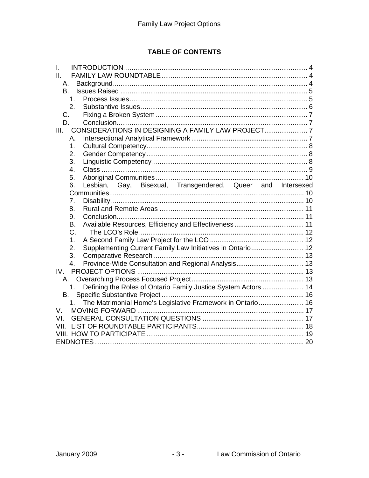# **TABLE OF CONTENTS**

| L                                                                                |
|----------------------------------------------------------------------------------|
| Ш.                                                                               |
| А.                                                                               |
| <b>B.</b>                                                                        |
| 1 <sub>1</sub>                                                                   |
| 2.                                                                               |
| C.                                                                               |
| D.                                                                               |
| III.                                                                             |
| А.                                                                               |
| 1.                                                                               |
| 2.                                                                               |
| 3.                                                                               |
| 4.                                                                               |
| 5.                                                                               |
| Lesbian, Gay, Bisexual, Transgendered, Queer and Intersexed<br>6.                |
| 7.                                                                               |
| 8.                                                                               |
| 9.                                                                               |
| <b>B.</b>                                                                        |
| C.                                                                               |
| 1 <sub>1</sub>                                                                   |
| Supplementing Current Family Law Initiatives in Ontario 12<br>2.                 |
| 3.                                                                               |
| $\mathbf{4}$ .                                                                   |
| IV.                                                                              |
| А.                                                                               |
| Defining the Roles of Ontario Family Justice System Actors  14<br>1 <sub>1</sub> |
| В.                                                                               |
| The Matrimonial Home's Legislative Framework in Ontario 16<br>1.                 |
| V.                                                                               |
| VI.                                                                              |
| VII.                                                                             |
|                                                                                  |
|                                                                                  |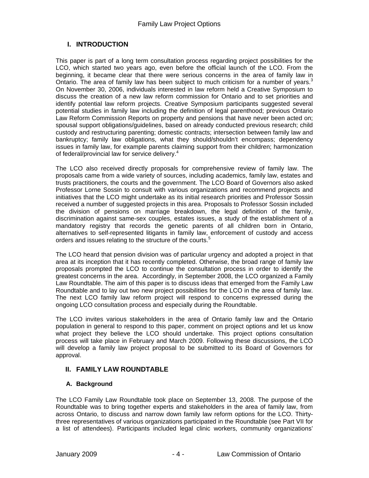## **I. INTRODUCTION**

This paper is part of a long term consultation process regarding project possibilities for the LCO, which started two years ago, even before the official launch of the LCO. From the beginning, it became clear that there were serious concerns in the area of family law in Ontario. The area of family law has been subject to much criticism for a number of years.<sup>3</sup> On November 30, 2006, individuals interested in law reform held a Creative Symposium to discuss the creation of a new law reform commission for Ontario and to set priorities and identify potential law reform projects. Creative Symposium participants suggested several potential studies in family law including the definition of legal parenthood; previous Ontario Law Reform Commission Reports on property and pensions that have never been acted on; spousal support obligations/guidelines, based on already conducted previous research; child custody and restructuring parenting; domestic contracts; intersection between family law and bankruptcy; family law obligations, what they should/shouldn't encompass; dependency issues in family law, for example parents claiming support from their children; harmonization of federal/provincial law for service delivery.<sup>4</sup>

The LCO also received directly proposals for comprehensive review of family law. The proposals came from a wide variety of sources, including academics, family law, estates and trusts practitioners, the courts and the government. The LCO Board of Governors also asked Professor Lorne Sossin to consult with various organizations and recommend projects and initiatives that the LCO might undertake as its initial research priorities and Professor Sossin received a number of suggested projects in this area. Proposals to Professor Sossin included the division of pensions on marriage breakdown, the legal definition of the family, discrimination against same-sex couples, estates issues, a study of the establishment of a mandatory registry that records the genetic parents of all children born in Ontario, alternatives to self-represented litigants in family law, enforcement of custody and access orders and issues relating to the structure of the courts.<sup>5</sup>

The LCO heard that pension division was of particular urgency and adopted a project in that area at its inception that it has recently completed. Otherwise, the broad range of family law proposals prompted the LCO to continue the consultation process in order to identify the greatest concerns in the area. Accordingly, in September 2008, the LCO organized a Family Law Roundtable. The aim of this paper is to discuss ideas that emerged from the Family Law Roundtable and to lay out two new project possibilities for the LCO in the area of family law. The next LCO family law reform project will respond to concerns expressed during the ongoing LCO consultation process and especially during the Roundtable.

The LCO invites various stakeholders in the area of Ontario family law and the Ontario population in general to respond to this paper, comment on project options and let us know what project they believe the LCO should undertake. This project options consultation process will take place in February and March 2009. Following these discussions, the LCO will develop a family law project proposal to be submitted to its Board of Governors for approval.

#### **II. FAMILY LAW ROUNDTABLE**

#### **A. Background**

The LCO Family Law Roundtable took place on September 13, 2008. The purpose of the Roundtable was to bring together experts and stakeholders in the area of family law, from across Ontario, to discuss and narrow down family law reform options for the LCO. Thirtythree representatives of various organizations participated in the Roundtable (see Part VII for a list of attendees). Participants included legal clinic workers, community organizations'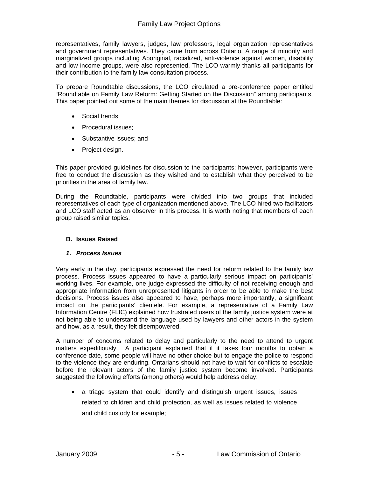representatives, family lawyers, judges, law professors, legal organization representatives and government representatives. They came from across Ontario. A range of minority and marginalized groups including Aboriginal, racialized, anti-violence against women, disability and low income groups, were also represented. The LCO warmly thanks all participants for their contribution to the family law consultation process.

To prepare Roundtable discussions, the LCO circulated a pre-conference paper entitled "Roundtable on Family Law Reform: Getting Started on the Discussion" among participants. This paper pointed out some of the main themes for discussion at the Roundtable:

- Social trends;
- Procedural issues:
- Substantive issues; and
- Project design.

This paper provided guidelines for discussion to the participants; however, participants were free to conduct the discussion as they wished and to establish what they perceived to be priorities in the area of family law.

During the Roundtable, participants were divided into two groups that included representatives of each type of organization mentioned above. The LCO hired two facilitators and LCO staff acted as an observer in this process. It is worth noting that members of each group raised similar topics.

#### **B. Issues Raised**

#### *1. Process Issues*

Very early in the day, participants expressed the need for reform related to the family law process. Process issues appeared to have a particularly serious impact on participants' working lives. For example, one judge expressed the difficulty of not receiving enough and appropriate information from unrepresented litigants in order to be able to make the best decisions. Process issues also appeared to have, perhaps more importantly, a significant impact on the participants' clientele. For example, a representative of a Family Law Information Centre (FLIC) explained how frustrated users of the family justice system were at not being able to understand the language used by lawyers and other actors in the system and how, as a result, they felt disempowered.

A number of concerns related to delay and particularly to the need to attend to urgent matters expeditiously. A participant explained that if it takes four months to obtain a conference date, some people will have no other choice but to engage the police to respond to the violence they are enduring. Ontarians should not have to wait for conflicts to escalate before the relevant actors of the family justice system become involved. Participants suggested the following efforts (among others) would help address delay:

• a triage system that could identify and distinguish urgent issues, issues related to children and child protection, as well as issues related to violence and child custody for example;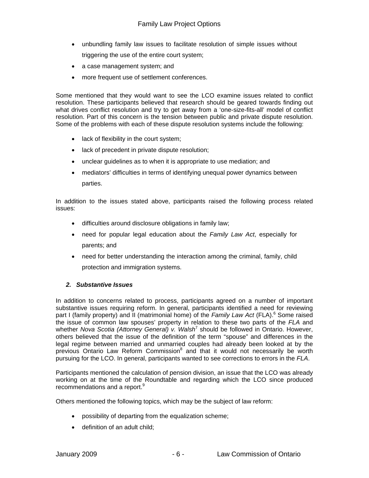- unbundling family law issues to facilitate resolution of simple issues without triggering the use of the entire court system;
- a case management system; and
- more frequent use of settlement conferences.

Some mentioned that they would want to see the LCO examine issues related to conflict resolution. These participants believed that research should be geared towards finding out what drives conflict resolution and try to get away from a 'one-size-fits-all' model of conflict resolution. Part of this concern is the tension between public and private dispute resolution. Some of the problems with each of these dispute resolution systems include the following:

- lack of flexibility in the court system;
- lack of precedent in private dispute resolution;
- unclear guidelines as to when it is appropriate to use mediation; and
- mediators' difficulties in terms of identifying unequal power dynamics between parties.

In addition to the issues stated above, participants raised the following process related issues:

- difficulties around disclosure obligations in family law;
- need for popular legal education about the *Family Law Act*, especially for parents; and
- need for better understanding the interaction among the criminal, family, child protection and immigration systems.

#### *2. Substantive Issues*

In addition to concerns related to process, participants agreed on a number of important substantive issues requiring reform. In general, participants identified a need for reviewing part I (family property) and II (matrimonial home) of the Family Law Act (FLA).<sup>6</sup> Some raised the issue of common law spouses' property in relation to these two parts of the *FLA* and whether *Nova Scotia (Attorney General) v. Walsh<sup>7</sup> should be followed in Ontario. However,* others believed that the issue of the definition of the term "spouse" and differences in the legal regime between married and unmarried couples had already been looked at by the previous Ontario Law Reform Commission<sup>8</sup> and that it would not necessarily be worth pursuing for the LCO. In general, participants wanted to see corrections to errors in the *FLA*.

Participants mentioned the calculation of pension division, an issue that the LCO was already working on at the time of the Roundtable and regarding which the LCO since produced recommendations and a report.<sup>9</sup>

Others mentioned the following topics, which may be the subject of law reform:

- possibility of departing from the equalization scheme;
- definition of an adult child: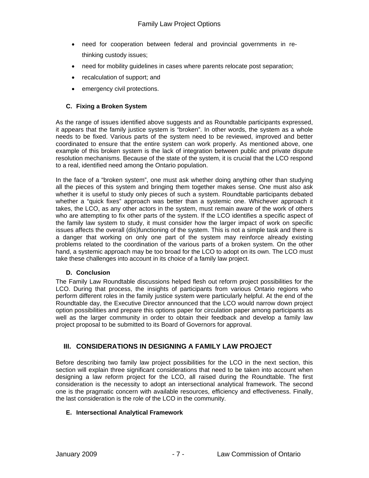- need for cooperation between federal and provincial governments in rethinking custody issues;
- need for mobility guidelines in cases where parents relocate post separation;
- recalculation of support; and
- emergency civil protections.

#### **C. Fixing a Broken System**

As the range of issues identified above suggests and as Roundtable participants expressed, it appears that the family justice system is "broken". In other words, the system as a whole needs to be fixed. Various parts of the system need to be reviewed, improved and better coordinated to ensure that the entire system can work properly. As mentioned above, one example of this broken system is the lack of integration between public and private dispute resolution mechanisms. Because of the state of the system, it is crucial that the LCO respond to a real, identified need among the Ontario population.

In the face of a "broken system", one must ask whether doing anything other than studying all the pieces of this system and bringing them together makes sense. One must also ask whether it is useful to study only pieces of such a system. Roundtable participants debated whether a "quick fixes" approach was better than a systemic one. Whichever approach it takes, the LCO, as any other actors in the system, must remain aware of the work of others who are attempting to fix other parts of the system. If the LCO identifies a specific aspect of the family law system to study, it must consider how the larger impact of work on specific issues affects the overall (dis)functioning of the system. This is not a simple task and there is a danger that working on only one part of the system may reinforce already existing problems related to the coordination of the various parts of a broken system. On the other hand, a systemic approach may be too broad for the LCO to adopt on its own. The LCO must take these challenges into account in its choice of a family law project.

#### **D. Conclusion**

The Family Law Roundtable discussions helped flesh out reform project possibilities for the LCO. During that process, the insights of participants from various Ontario regions who perform different roles in the family justice system were particularly helpful. At the end of the Roundtable day, the Executive Director announced that the LCO would narrow down project option possibilities and prepare this options paper for circulation paper among participants as well as the larger community in order to obtain their feedback and develop a family law project proposal to be submitted to its Board of Governors for approval.

#### **III. CONSIDERATIONS IN DESIGNING A FAMILY LAW PROJECT**

Before describing two family law project possibilities for the LCO in the next section, this section will explain three significant considerations that need to be taken into account when designing a law reform project for the LCO, all raised during the Roundtable. The first consideration is the necessity to adopt an intersectional analytical framework. The second one is the pragmatic concern with available resources, efficiency and effectiveness. Finally, the last consideration is the role of the LCO in the community.

#### **E. Intersectional Analytical Framework**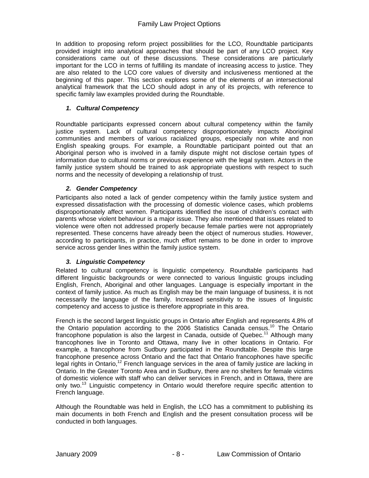In addition to proposing reform project possibilities for the LCO, Roundtable participants provided insight into analytical approaches that should be part of any LCO project. Key considerations came out of these discussions. These considerations are particularly important for the LCO in terms of fulfilling its mandate of increasing access to justice. They are also related to the LCO core values of diversity and inclusiveness mentioned at the beginning of this paper. This section explores some of the elements of an intersectional analytical framework that the LCO should adopt in any of its projects, with reference to specific family law examples provided during the Roundtable.

#### *1. Cultural Competency*

Roundtable participants expressed concern about cultural competency within the family justice system. Lack of cultural competency disproportionately impacts Aboriginal communities and members of various racialized groups, especially non white and non English speaking groups. For example, a Roundtable participant pointed out that an Aboriginal person who is involved in a family dispute might not disclose certain types of information due to cultural norms or previous experience with the legal system. Actors in the family justice system should be trained to ask appropriate questions with respect to such norms and the necessity of developing a relationship of trust.

#### *2. Gender Competency*

Participants also noted a lack of gender competency within the family justice system and expressed dissatisfaction with the processing of domestic violence cases, which problems disproportionately affect women. Participants identified the issue of children's contact with parents whose violent behaviour is a major issue. They also mentioned that issues related to violence were often not addressed properly because female parties were not appropriately represented. These concerns have already been the object of numerous studies. However, according to participants, in practice, much effort remains to be done in order to improve service across gender lines within the family justice system.

#### *3. Linguistic Competency*

Related to cultural competency is linguistic competency. Roundtable participants had different linguistic backgrounds or were connected to various linguistic groups including English, French, Aboriginal and other languages. Language is especially important in the context of family justice. As much as English may be the main language of business, it is not necessarily the language of the family. Increased sensitivity to the issues of linguistic competency and access to justice is therefore appropriate in this area.

French is the second largest linguistic groups in Ontario after English and represents 4.8% of the Ontario population according to the 2006 Statistics Canada census.10 The Ontario francophone population is also the largest in Canada, outside of Quebec.<sup>11</sup> Although many francophones live in Toronto and Ottawa, many live in other locations in Ontario. For example, a francophone from Sudbury participated in the Roundtable. Despite this large francophone presence across Ontario and the fact that Ontario francophones have specific legal rights in Ontario,<sup>12</sup> French language services in the area of family justice are lacking in Ontario. In the Greater Toronto Area and in Sudbury, there are no shelters for female victims of domestic violence with staff who can deliver services in French, and in Ottawa, there are only two.<sup>13</sup> Linguistic competency in Ontario would therefore require specific attention to French language.

Although the Roundtable was held in English, the LCO has a commitment to publishing its main documents in both French and English and the present consultation process will be conducted in both languages.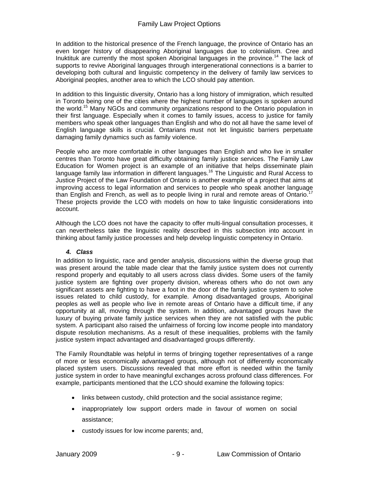In addition to the historical presence of the French language, the province of Ontario has an even longer history of disappearing Aboriginal languages due to colonialism. Cree and Inuktituk are currently the most spoken Aboriginal languages in the province.<sup>14</sup> The lack of supports to revive Aboriginal languages through intergenerational connections is a barrier to developing both cultural and linguistic competency in the delivery of family law services to Aboriginal peoples, another area to which the LCO should pay attention.

In addition to this linguistic diversity, Ontario has a long history of immigration, which resulted in Toronto being one of the cities where the highest number of languages is spoken around the world.15 Many NGOs and community organizations respond to the Ontario population in their first language. Especially when it comes to family issues, access to justice for family members who speak other languages than English and who do not all have the same level of English language skills is crucial. Ontarians must not let linguistic barriers perpetuate damaging family dynamics such as family violence.

People who are more comfortable in other languages than English and who live in smaller centres than Toronto have great difficulty obtaining family justice services. The Family Law Education for Women project is an example of an initiative that helps disseminate plain language family law information in different languages.<sup>16</sup> The Linguistic and Rural Access to Justice Project of the Law Foundation of Ontario is another example of a project that aims at improving access to legal information and services to people who speak another language than English and French, as well as to people living in rural and remote areas of Ontario.<sup>17</sup> These projects provide the LCO with models on how to take linguistic considerations into account.

Although the LCO does not have the capacity to offer multi-lingual consultation processes, it can nevertheless take the linguistic reality described in this subsection into account in thinking about family justice processes and help develop linguistic competency in Ontario.

#### *4. Class*

In addition to linguistic, race and gender analysis, discussions within the diverse group that was present around the table made clear that the family justice system does not currently respond properly and equitably to all users across class divides. Some users of the family justice system are fighting over property division, whereas others who do not own any significant assets are fighting to have a foot in the door of the family justice system to solve issues related to child custody, for example. Among disadvantaged groups, Aboriginal peoples as well as people who live in remote areas of Ontario have a difficult time, if any opportunity at all, moving through the system. In addition, advantaged groups have the luxury of buying private family justice services when they are not satisfied with the public system. A participant also raised the unfairness of forcing low income people into mandatory dispute resolution mechanisms. As a result of these inequalities, problems with the family justice system impact advantaged and disadvantaged groups differently.

The Family Roundtable was helpful in terms of bringing together representatives of a range of more or less economically advantaged groups, although not of differently economically placed system users. Discussions revealed that more effort is needed within the family justice system in order to have meaningful exchanges across profound class differences. For example, participants mentioned that the LCO should examine the following topics:

- links between custody, child protection and the social assistance regime;
- inappropriately low support orders made in favour of women on social assistance;
- custody issues for low income parents; and,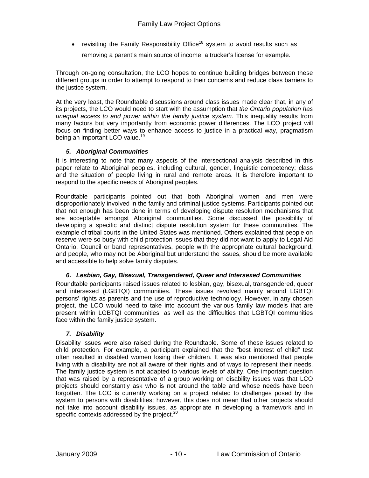• revisiting the Family Responsibility Office<sup>18</sup> system to avoid results such as

removing a parent's main source of income, a trucker's license for example.

Through on-going consultation, the LCO hopes to continue building bridges between these different groups in order to attempt to respond to their concerns and reduce class barriers to the justice system.

At the very least, the Roundtable discussions around class issues made clear that, in any of its projects, the LCO would need to start with the assumption that *the Ontario population has unequal access to and power within the family justice system*. This inequality results from many factors but very importantly from economic power differences. The LCO project will focus on finding better ways to enhance access to justice in a practical way, pragmatism being an important LCO value.<sup>19</sup>

#### *5. Aboriginal Communities*

It is interesting to note that many aspects of the intersectional analysis described in this paper relate to Aboriginal peoples, including cultural, gender, linguistic competency; class and the situation of people living in rural and remote areas. It is therefore important to respond to the specific needs of Aboriginal peoples.

Roundtable participants pointed out that both Aboriginal women and men were disproportionately involved in the family and criminal justice systems. Participants pointed out that not enough has been done in terms of developing dispute resolution mechanisms that are acceptable amongst Aboriginal communities. Some discussed the possibility of developing a specific and distinct dispute resolution system for these communities. The example of tribal courts in the United States was mentioned. Others explained that people on reserve were so busy with child protection issues that they did not want to apply to Legal Aid Ontario. Council or band representatives, people with the appropriate cultural background, and people, who may not be Aboriginal but understand the issues, should be more available and accessible to help solve family disputes.

#### *6. Lesbian, Gay, Bisexual, Transgendered, Queer and Intersexed Communities*

Roundtable participants raised issues related to lesbian, gay, bisexual, transgendered, queer and intersexed (LGBTQI) communities. These issues revolved mainly around LGBTQI persons' rights as parents and the use of reproductive technology. However, in any chosen project, the LCO would need to take into account the various family law models that are present within LGBTQI communities, as well as the difficulties that LGBTQI communities face within the family justice system.

#### *7. Disability*

Disability issues were also raised during the Roundtable. Some of these issues related to child protection. For example, a participant explained that the "best interest of child" test often resulted in disabled women losing their children. It was also mentioned that people living with a disability are not all aware of their rights and of ways to represent their needs. The family justice system is not adapted to various levels of ability. One important question that was raised by a representative of a group working on disability issues was that LCO projects should constantly ask who is not around the table and whose needs have been forgotten. The LCO is currently working on a project related to challenges posed by the system to persons with disabilities; however, this does not mean that other projects should not take into account disability issues, as appropriate in developing a framework and in specific contexts addressed by the project.<sup>20</sup>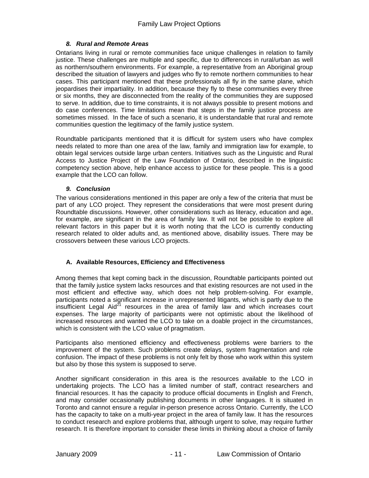#### *8. Rural and Remote Areas*

Ontarians living in rural or remote communities face unique challenges in relation to family justice. These challenges are multiple and specific, due to differences in rural/urban as well as northern/southern environments. For example, a representative from an Aboriginal group described the situation of lawyers and judges who fly to remote northern communities to hear cases. This participant mentioned that these professionals all fly in the same plane, which jeopardises their impartiality. In addition, because they fly to these communities every three or six months, they are disconnected from the reality of the communities they are supposed to serve. In addition, due to time constraints, it is not always possible to present motions and do case conferences. Time limitations mean that steps in the family justice process are sometimes missed. In the face of such a scenario, it is understandable that rural and remote communities question the legitimacy of the family justice system.

Roundtable participants mentioned that it is difficult for system users who have complex needs related to more than one area of the law, family and immigration law for example, to obtain legal services outside large urban centers. Initiatives such as the Linguistic and Rural Access to Justice Project of the Law Foundation of Ontario, described in the linguistic competency section above, help enhance access to justice for these people. This is a good example that the LCO can follow.

#### *9. Conclusion*

The various considerations mentioned in this paper are only a few of the criteria that must be part of any LCO project. They represent the considerations that were most present during Roundtable discussions. However, other considerations such as literacy, education and age, for example, are significant in the area of family law. It will not be possible to explore all relevant factors in this paper but it is worth noting that the LCO is currently conducting research related to older adults and, as mentioned above, disability issues. There may be crossovers between these various LCO projects.

#### **A. Available Resources, Efficiency and Effectiveness**

Among themes that kept coming back in the discussion, Roundtable participants pointed out that the family justice system lacks resources and that existing resources are not used in the most efficient and effective way, which does not help problem-solving. For example, participants noted a significant increase in unrepresented litigants, which is partly due to the insufficient Legal Aid $2^1$  resources in the area of family law and which increases court expenses. The large majority of participants were not optimistic about the likelihood of increased resources and wanted the LCO to take on a doable project in the circumstances, which is consistent with the LCO value of pragmatism.

Participants also mentioned efficiency and effectiveness problems were barriers to the improvement of the system. Such problems create delays, system fragmentation and role confusion. The impact of these problems is not only felt by those who work within this system but also by those this system is supposed to serve.

Another significant consideration in this area is the resources available to the LCO in undertaking projects. The LCO has a limited number of staff, contract researchers and financial resources. It has the capacity to produce official documents in English and French, and may consider occasionally publishing documents in other languages. It is situated in Toronto and cannot ensure a regular in-person presence across Ontario. Currently, the LCO has the capacity to take on a multi-year project in the area of family law. It has the resources to conduct research and explore problems that, although urgent to solve, may require further research. It is therefore important to consider these limits in thinking about a choice of family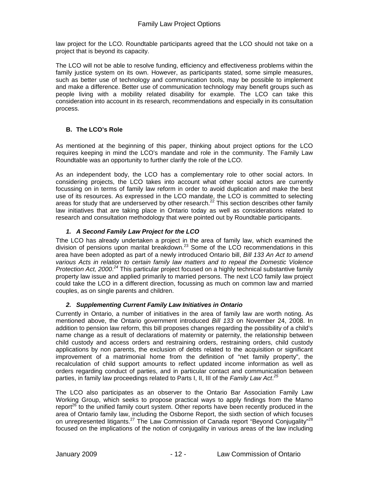law project for the LCO. Roundtable participants agreed that the LCO should not take on a project that is beyond its capacity.

The LCO will not be able to resolve funding, efficiency and effectiveness problems within the family justice system on its own. However, as participants stated, some simple measures, such as better use of technology and communication tools, may be possible to implement and make a difference. Better use of communication technology may benefit groups such as people living with a mobility related disability for example. The LCO can take this consideration into account in its research, recommendations and especially in its consultation process.

#### **B. The LCO's Role**

As mentioned at the beginning of this paper, thinking about project options for the LCO requires keeping in mind the LCO's mandate and role in the community. The Family Law Roundtable was an opportunity to further clarify the role of the LCO.

As an independent body, the LCO has a complementary role to other social actors. In considering projects, the LCO takes into account what other social actors are currently focussing on in terms of family law reform in order to avoid duplication and make the best use of its resources. As expressed in the LCO mandate, the LCO is committed to selecting areas for study that are underserved by other research.<sup>22</sup> This section describes other family law initiatives that are taking place in Ontario today as well as considerations related to research and consultation methodology that were pointed out by Roundtable participants.

#### *1. A Second Family Law Project for the LCO*

Tthe LCO has already undertaken a project in the area of family law, which examined the division of pensions upon marital breakdown.<sup>23</sup> Some of the LCO recommendations in this area have been adopted as part of a newly introduced Ontario bill, *Bill 133 An Act to amend various Acts in relation to certain family law matters and to repeal the Domestic Violence*  Protection Act, 2000<sup>24</sup> This particular project focused on a highly technical substantive family property law issue and applied primarily to married persons. The next LCO family law project could take the LCO in a different direction, focussing as much on common law and married couples, as on single parents and children.

#### *2. Supplementing Current Family Law Initiatives in Ontario*

Currently in Ontario, a number of initiatives in the area of family law are worth noting. As mentioned above, the Ontario government introduced *Bill 133* on November 24, 2008. In addition to pension law reform, this bill proposes changes regarding the possibility of a child's name change as a result of declarations of maternity or paternity, the relationship between child custody and access orders and restraining orders, restraining orders, child custody applications by non parents, the exclusion of debts related to the acquisition or significant improvement of a matrimonial home from the definition of "net family property", the recalculation of child support amounts to reflect updated income information as well as orders regarding conduct of parties, and in particular contact and communication between parties, in family law proceedings related to Parts I, II, III of the *Family Law Act*. *25*

The LCO also participates as an observer to the Ontario Bar Association Family Law Working Group, which seeks to propose practical ways to apply findings from the Mamo report<sup>26</sup> to the unified family court system. Other reports have been recently produced in the area of Ontario family law, including the Osborne Report, the sixth section of which focuses on unrepresented litigants.<sup>27</sup> The Law Commission of Canada report "Beyond Conjugality"<sup>28</sup> focused on the implications of the notion of conjugality in various areas of the law including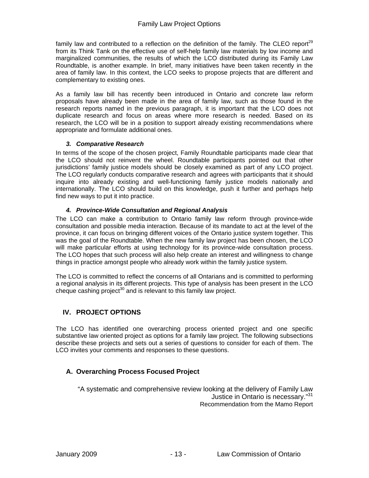family law and contributed to a reflection on the definition of the family. The CLEO report<sup>29</sup> from its Think Tank on the effective use of self-help family law materials by low income and marginalized communities, the results of which the LCO distributed during its Family Law Roundtable, is another example. In brief, many initiatives have been taken recently in the area of family law. In this context, the LCO seeks to propose projects that are different and complementary to existing ones.

As a family law bill has recently been introduced in Ontario and concrete law reform proposals have already been made in the area of family law, such as those found in the research reports named in the previous paragraph, it is important that the LCO does not duplicate research and focus on areas where more research is needed. Based on its research, the LCO will be in a position to support already existing recommendations where appropriate and formulate additional ones.

#### *3. Comparative Research*

In terms of the scope of the chosen project, Family Roundtable participants made clear that the LCO should not reinvent the wheel. Roundtable participants pointed out that other jurisdictions' family justice models should be closely examined as part of any LCO project. The LCO regularly conducts comparative research and agrees with participants that it should inquire into already existing and well-functioning family justice models nationally and internationally. The LCO should build on this knowledge, push it further and perhaps help find new ways to put it into practice.

#### *4. Province-Wide Consultation and Regional Analysis*

The LCO can make a contribution to Ontario family law reform through province-wide consultation and possible media interaction. Because of its mandate to act at the level of the province, it can focus on bringing different voices of the Ontario justice system together. This was the goal of the Roundtable. When the new family law project has been chosen, the LCO will make particular efforts at using technology for its province-wide consultation process. The LCO hopes that such process will also help create an interest and willingness to change things in practice amongst people who already work within the family justice system.

The LCO is committed to reflect the concerns of all Ontarians and is committed to performing a regional analysis in its different projects. This type of analysis has been present in the LCO cheque cashing project<sup>30</sup> and is relevant to this family law project.

# **IV. PROJECT OPTIONS**

The LCO has identified one overarching process oriented project and one specific substantive law oriented project as options for a family law project. The following subsections describe these projects and sets out a series of questions to consider for each of them. The LCO invites your comments and responses to these questions.

# **A. Overarching Process Focused Project**

"A systematic and comprehensive review looking at the delivery of Family Law Justice in Ontario is necessary."<sup>31</sup> Recommendation from the Mamo Report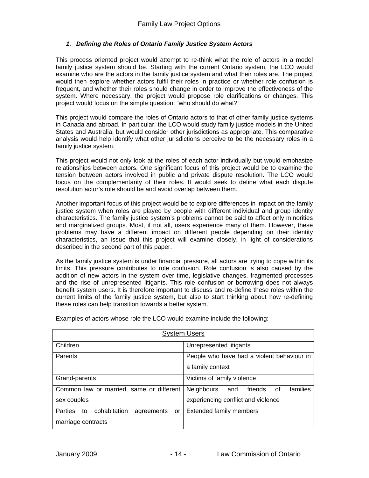#### *1. Defining the Roles of Ontario Family Justice System Actors*

This process oriented project would attempt to re-think what the role of actors in a model family justice system should be. Starting with the current Ontario system, the LCO would examine who are the actors in the family justice system and what their roles are. The project would then explore whether actors fulfil their roles in practice or whether role confusion is frequent, and whether their roles should change in order to improve the effectiveness of the system. Where necessary, the project would propose role clarifications or changes. This project would focus on the simple question: "who should do what?"

This project would compare the roles of Ontario actors to that of other family justice systems in Canada and abroad. In particular, the LCO would study family justice models in the United States and Australia, but would consider other jurisdictions as appropriate. This comparative analysis would help identify what other jurisdictions perceive to be the necessary roles in a family justice system.

This project would not only look at the roles of each actor individually but would emphasize relationships between actors. One significant focus of this project would be to examine the tension between actors involved in public and private dispute resolution. The LCO would focus on the complementarity of their roles. It would seek to define what each dispute resolution actor's role should be and avoid overlap between them.

Another important focus of this project would be to explore differences in impact on the family justice system when roles are played by people with different individual and group identity characteristics. The family justice system's problems cannot be said to affect only minorities and marginalized groups. Most, if not all, users experience many of them. However, these problems may have a different impact on different people depending on their identity characteristics, an issue that this project will examine closely, in light of considerations described in the second part of this paper.

As the family justice system is under financial pressure, all actors are trying to cope within its limits. This pressure contributes to role confusion. Role confusion is also caused by the addition of new actors in the system over time, legislative changes, fragmented processes and the rise of unrepresented litigants. This role confusion or borrowing does not always benefit system users. It is therefore important to discuss and re-define these roles within the current limits of the family justice system, but also to start thinking about how re-defining these roles can help transition towards a better system.

| <b>System Users</b>                                             |                                             |  |
|-----------------------------------------------------------------|---------------------------------------------|--|
| Children                                                        | Unrepresented litigants                     |  |
| Parents                                                         | People who have had a violent behaviour in  |  |
|                                                                 | a family context                            |  |
| Grand-parents                                                   | Victims of family violence                  |  |
| Common law or married, same or different                        | Neighbours<br>families<br>friends of<br>and |  |
| sex couples                                                     | experiencing conflict and violence          |  |
| <b>Parties</b><br>cohabitation<br>to<br>agreements<br><b>or</b> | <b>Extended family members</b>              |  |
| marriage contracts                                              |                                             |  |

Examples of actors whose role the LCO would examine include the following: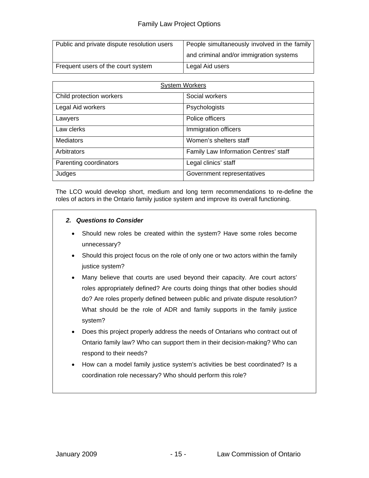| Public and private dispute resolution users | People simultaneously involved in the family |
|---------------------------------------------|----------------------------------------------|
|                                             | and criminal and/or immigration systems      |
| Frequent users of the court system          | Legal Aid users                              |

| <b>System Workers</b>    |                                       |  |
|--------------------------|---------------------------------------|--|
| Child protection workers | Social workers                        |  |
| Legal Aid workers        | Psychologists                         |  |
| Lawyers                  | Police officers                       |  |
| Law clerks               | Immigration officers                  |  |
| <b>Mediators</b>         | Women's shelters staff                |  |
| Arbitrators              | Family Law Information Centres' staff |  |
| Parenting coordinators   | Legal clinics' staff                  |  |
| Judges                   | Government representatives            |  |

The LCO would develop short, medium and long term recommendations to re-define the roles of actors in the Ontario family justice system and improve its overall functioning.

#### *2. Questions to Consider*

- Should new roles be created within the system? Have some roles become unnecessary?
- Should this project focus on the role of only one or two actors within the family justice system?
- Many believe that courts are used beyond their capacity. Are court actors' roles appropriately defined? Are courts doing things that other bodies should do? Are roles properly defined between public and private dispute resolution? What should be the role of ADR and family supports in the family justice system?
- Does this project properly address the needs of Ontarians who contract out of Ontario family law? Who can support them in their decision-making? Who can respond to their needs?
- How can a model family justice system's activities be best coordinated? Is a coordination role necessary? Who should perform this role?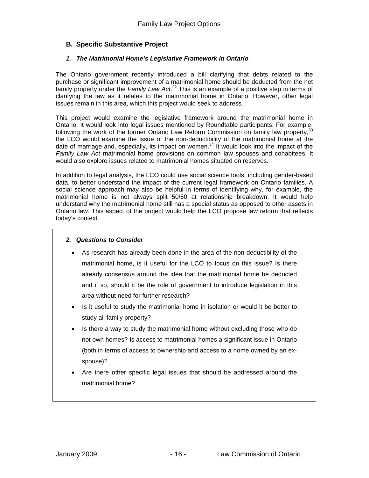# **B. Specific Substantive Project**

#### *1. The Matrimonial Home's Legislative Framework in Ontario*

The Ontario government recently introduced a bill clarifying that debts related to the purchase or significant improvement of a matrimonial home should be deducted from the net family property under the *Family Law Act*. 32 This is an example of a positive step in terms of clarifying the law as it relates to the matrimonial home in Ontario. However, other legal issues remain in this area, which this project would seek to address.

This project would examine the legislative framework around the matrimonial home in This project would examine the regionality matricians and the participants. For example,<br>Ontario. It would look into legal issues mentioned by Roundtable participants. For example, following the work of the former Ontario Law Reform Commission on family law property,<sup>3</sup> the LCO would examine the issue of the non-deductibility of the matrimonial home at the date of marriage and, especially, its impact on women. $34$  It would look into the impact of the *Family Law Act* matrimonial home provisions on common law spouses and cohabitees. It would also explore issues related to matrimonial homes situated on reserves.

In addition to legal analysis, the LCO could use social science tools, including gender-based data, to better understand the impact of the current legal framework on Ontario families. A social science approach may also be helpful in terms of identifying why, for example, the matrimonial home is not always split 50/50 at relationship breakdown. It would help understand why the matrimonial home still has a special status as opposed to other assets in Ontario law. This aspect of the project would help the LCO propose law reform that reflects today's context.

#### *2. Questions to Consider*

- As research has already been done in the area of the non-deductibility of the matrimonial home, is it useful for the LCO to focus on this issue? Is there already consensus around the idea that the matrimonial home be deducted and if so, should it be the role of government to introduce legislation in this area without need for further research?
- Is it useful to study the matrimonial home in isolation or would it be better to study all family property?
- Is there a way to study the matrimonial home without excluding those who do not own homes? Is access to matrimonial homes a significant issue in Ontario (both in terms of access to ownership and access to a home owned by an exspouse)?
- Are there other specific legal issues that should be addressed around the matrimonial home?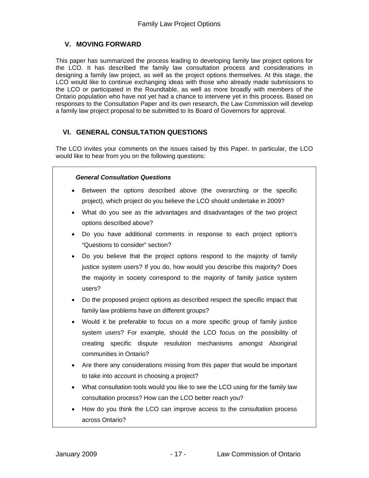# **V. MOVING FORWARD**

This paper has summarized the process leading to developing family law project options for the LCO. It has described the family law consultation process and considerations in designing a family law project, as well as the project options themselves. At this stage, the LCO would like to continue exchanging ideas with those who already made submissions to the LCO or participated in the Roundtable, as well as more broadly with members of the Ontario population who have not yet had a chance to intervene yet in this process. Based on responses to the Consultation Paper and its own research, the Law Commission will develop a family law project proposal to be submitted to its Board of Governors for approval.

# **VI. GENERAL CONSULTATION QUESTIONS**

The LCO invites your comments on the issues raised by this Paper. In particular, the LCO would like to hear from you on the following questions:

#### *General Consultation Questions*

- Between the options described above (the overarching or the specific project), which project do you believe the LCO should undertake in 2009?
- What do you see as the advantages and disadvantages of the two project options described above?
- Do you have additional comments in response to each project option's "Questions to consider" section?
- Do you believe that the project options respond to the majority of family justice system users? If you do, how would you describe this majority? Does the majority in society correspond to the majority of family justice system users?
- Do the proposed project options as described respect the specific impact that family law problems have on different groups?
- Would it be preferable to focus on a more specific group of family justice system users? For example, should the LCO focus on the possibility of creating specific dispute resolution mechanisms amongst Aboriginal communities in Ontario?
- Are there any considerations missing from this paper that would be important to take into account in choosing a project?
- What consultation tools would you like to see the LCO using for the family law consultation process? How can the LCO better reach you?
- How do you think the LCO can improve access to the consultation process across Ontario?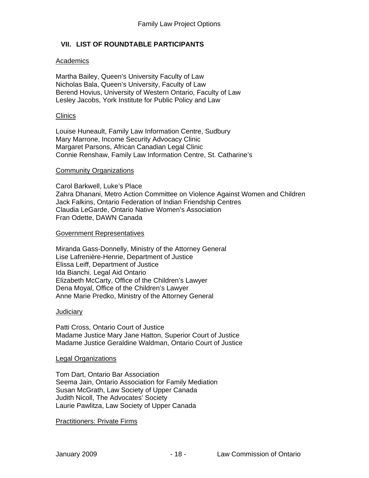#### **VII. LIST OF ROUNDTABLE PARTICIPANTS**

#### Academics

Martha Bailey, Queen's University Faculty of Law Nicholas Bala, Queen's University, Faculty of Law Berend Hovius, University of Western Ontario, Faculty of Law Lesley Jacobs, York Institute for Public Policy and Law

#### **Clinics**

Louise Huneault, Family Law Information Centre, Sudbury Mary Marrone, Income Security Advocacy Clinic Margaret Parsons, African Canadian Legal Clinic Connie Renshaw, Family Law Information Centre, St. Catharine's

#### Community Organizations

Carol Barkwell, Luke's Place Zahra Dhanani, Metro Action Committee on Violence Against Women and Children Jack Falkins, Ontario Federation of Indian Friendship Centres Claudia LeGarde, Ontario Native Women's Association Fran Odette, DAWN Canada

#### Government Representatives

Miranda Gass-Donnelly, Ministry of the Attorney General Lise Lafrenière-Henrie, Department of Justice Elissa Leiff, Department of Justice Ida Bianchi, Legal Aid Ontario Elizabeth McCarty, Office of the Children's Lawyer Dena Moyal, Office of the Children's Lawyer Anne Marie Predko, Ministry of the Attorney General

#### **Judiciary**

Patti Cross, Ontario Court of Justice Madame Justice Mary Jane Hatton, Superior Court of Justice Madame Justice Geraldine Waldman, Ontario Court of Justice

#### Legal Organizations

Tom Dart, Ontario Bar Association Seema Jain, Ontario Association for Family Mediation Susan McGrath, Law Society of Upper Canada Judith Nicoll, The Advocates' Society Laurie Pawlitza, Law Society of Upper Canada

#### Practitioners: Private Firms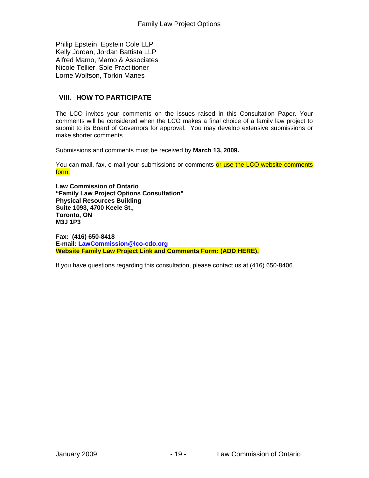Philip Epstein, Epstein Cole LLP Kelly Jordan, Jordan Battista LLP Alfred Mamo, Mamo & Associates Nicole Tellier, Sole Practitioner Lorne Wolfson, Torkin Manes

# **VIII. HOW TO PARTICIPATE**

The LCO invites your comments on the issues raised in this Consultation Paper. Your comments will be considered when the LCO makes a final choice of a family law project to submit to its Board of Governors for approval. You may develop extensive submissions or make shorter comments.

Submissions and comments must be received by **March 13, 2009.** 

You can mail, fax, e-mail your submissions or comments or use the LCO website comments form:

**Law Commission of Ontario "Family Law Project Options Consultation" Physical Resources Building Suite 1093, 4700 Keele St., Toronto, ON M3J 1P3** 

**Fax: (416) 650-8418 E-mail: LawCommission@lco-cdo.org Website Family Law Project Link and Comments Form: (ADD HERE).** 

If you have questions regarding this consultation, please contact us at (416) 650-8406.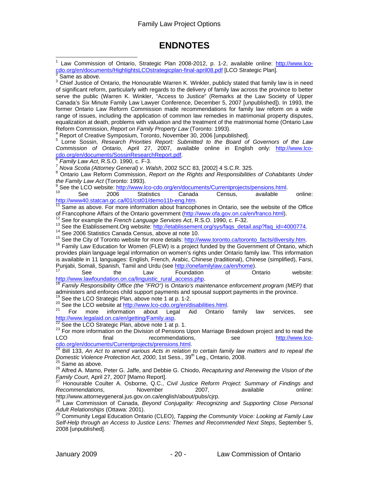# **ENDNOTES**

1 Law Commission of Ontario, Strategic Plan 2008-2012, p. 1-2, available online: http://www.lcocdo.org/en/documents/HighlightsLCOstrategicplan-final-april08.pdf [LCO Strategic Plan]. Same as above.  $3$  Chief Justice of Ontario, the Honourable Warren K. Winkler, publicly stated that family law is in need of significant reform, particularly with regards to the delivery of family law across the province to better serve the public (Warren K. Winkler, "Access to Justice" (Remarks at the Law Society of Upper Canada's Six Minute Family Law Lawyer Conference, December 5, 2007 [unpublished]). In 1993, the former Ontario Law Reform Commission made recommendations for family law reform on a wide range of issues, including the application of common law remedies in matrimonial property disputes, equalization at death, problems with valuation and the treatment of the matrimonial home (Ontario Law Reform Commission, *Report on Family Property Law* (Toronto: 1993). 4 <sup>4</sup> Report of Creative Symposium, Toronto, November 30, 2006 [unpublished]. 5 Lorne Sossin, *Research Priorities Report: Submitted to the Board of Governors of the Law Commission of Ontario*, April 27, 2007, available online in English only: http://www.lcocdo.org/en/documents/SossinResearchReport.pdf. 6 *Family Law Act*, R.S.O. 1990, c. F-3. 7 *Nova Scotia (Attorney General) v. Walsh*, 2002 SCC 83, [2002] 4 S.C.R. 325. 8 Ontario Law Reform Commission, *Report on the Rights and Responsibilities of Cohabitants Under the Family Law Act* (Toronto: 1993). See the LCO website: http://www.lco-cdo.org/en/documents/Currentprojects/pensions.html.<br>
<sup>10</sup> See 2006 Statistics Canada Census, available online: http://www40.statcan.gc.ca/l01/cst01/demo11b-eng.htm.<br><sup>11</sup> Same as above. For more information about francophones in Ontario, see the website of the Office<br>of Francophone Affairs of the Ontario government (http://www.ofa.g <sup>12</sup> See for example the *French Language Services* Act, R.S.O. 1990, c. F-32.<br>
<sup>13</sup> See the Etablissement.Org website: http://etablissement.org/sys/faqs\_detail.asp?faq\_id=4000774.<br>
<sup>14</sup> See 2006 Statistics Canada Census, provides plain language legal information on women's rights under Ontario family law. This information is available in 11 languages: English, French, Arabic, Chinese (traditional), Chinese (simplified), Farsi, Punjabi, Somali, Spanish, Tamil and Urdu (see <u>http://onefamilylaw.ca/en/home</u>).<br>
<sup>17</sup> See the Law Foundation of Ontario website:<br>
<u>http://www.lawfoundation.on.ca/linguistic\_rural\_access.php</u>.<br>
<sup>18</sup> Family Responsibility O Family Responsibility Office (the "FRO") is Ontario's maintenance enforcement program (MEP) that administers and enforces child support payments and spousal support payments in the province.<br><sup>19</sup> See the LCO Strategic Plan, above note 1 at p. 1-2. 20 See the LCO website at <u>http://www.lco-cdo.org/en/disabilities.html</u>.<br>
<sup>21</sup> For more information about Legal Aid Ontario family law services, see<br>
<u>http://www.legalaid.on.ca/en/qetting/Family.asp</u>.  $\frac{22}{22}$  See the LCO Strategic Plan, above note 1 at p. 1. <br><sup>23</sup> For more information on the Division of Pensions Upon Marriage Breakdown project and to read the LCO final recommendations, see http://www.lco-<br>
cdo.org/en/documents/Currentprojects/prensions.html<br>
<sup>24</sup> Bill 133 Ap Act to current <sup>24</sup> Bill 133, *An Act to amend various Acts in relation to certain family law matters and to repeal the Domestic Violence Protection Act, 2000, 1st Sess., 39<sup>th</sup> Leg., Ontario, 2008.* <sup>25</sup> Same as above.<br><sup>26</sup> Alfred A. Mamo, Peter G. Jaffe, and Debbie G. Chiodo, *Recapturing and Renewing the Vision of the*<br>*Family Court*, April 27, 2007 [Mamo Report]. *Family Court*, April 27, 2007 [Mamo Report]. 27 Honourable Coulter A. Osborne, Q.C., *Civil Justice Reform Project: Summary of Findings and*  **Recommendations.** November 2007, available online: http://www.attorneygeneral.jus.gov.on.ca/english/about/pubs/cjrp.

28 Law Commission of Canada, *Beyond Conjugality: Recognizing and Supporting Close Personal* 

*Adult Relationships* (Ottawa: 2001). 29 Community Legal Education Ontario (CLEO), *Tapping the Community Voice: Looking at Family Law Self-Help through an Access to Justice Lens: Themes and Recommended Next Steps*, September 5, 2008 [unpublished].